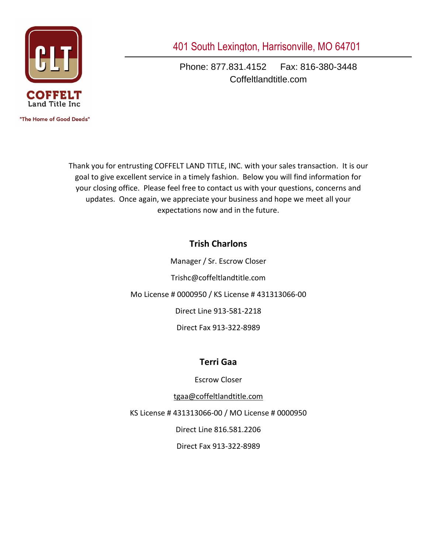

"The Home of Good Deeds"

401 South Lexington, Harrisonville, MO 64701

Phone: 877.831.4152 Fax: 816-380-3448 Coffeltlandtitle.com

Thank you for entrusting COFFELT LAND TITLE, INC. with your sales transaction. It is our goal to give excellent service in a timely fashion. Below you will find information for your closing office. Please feel free to contact us with your questions, concerns and updates. Once again, we appreciate your business and hope we meet all your expectations now and in the future.

# **Trish Charlons**

Manager / Sr. Escrow Closer Trishc@coffeltlandtitle.com Mo License # 0000950 / KS License # 431313066-00 Direct Line 913-581-2218 Direct Fax 913-322-8989

# **Terri Gaa**

Escrow Closer

[tgaa@coffeltlandtitle.com](mailto:tgaa@coffeltlandtitle.com)

KS License # 431313066-00 / MO License # 0000950

Direct Line 816.581.2206

Direct Fax 913-322-8989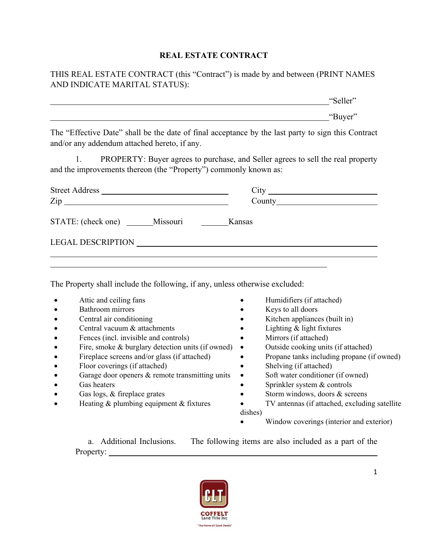#### **REAL ESTATE CONTRACT**

THIS REAL ESTATE CONTRACT (this "Contract") is made by and between (PRINT NAMES AND INDICATE MARITAL STATUS):

|                                                                              | "Seller"                                                                                           |
|------------------------------------------------------------------------------|----------------------------------------------------------------------------------------------------|
|                                                                              | "Buyer"                                                                                            |
| and/or any addendum attached hereto, if any.                                 | The "Effective Date" shall be the date of final acceptance by the last party to sign this Contract |
| and the improvements thereon (the "Property") commonly known as:             | 1. PROPERTY: Buyer agrees to purchase, and Seller agrees to sell the real property                 |
|                                                                              |                                                                                                    |
|                                                                              |                                                                                                    |
| STATE: (check one) Missouri Kansas                                           |                                                                                                    |
| LEGAL DESCRIPTION                                                            |                                                                                                    |
| The Property shall include the following, if any, unless otherwise excluded: |                                                                                                    |
| Attic and ceiling fans                                                       | Humidifiers (if attached)                                                                          |
| Bathroom mirrors                                                             | Keys to all doors                                                                                  |
| Central air conditioning                                                     | Kitchen appliances (built in)                                                                      |

- Central vacuum & attachments Lighting & light fixtures
- Fences (incl. invisible and controls) Mirrors (if attached)
- Fire, smoke  $\&$  burglary detection units (if owned)  $\bullet$  Outside cooking units (if attached)
- 
- Floor coverings (if attached) Shelving (if attached)
- Garage door openers & remote transmitting units Soft water conditioner (if owned)
- 
- 
- 
- 
- 
- 
- Fireplace screens and/or glass (if attached) Propane tanks including propane (if owned)
	-
	-
- Gas heaters Sprinkler system & controls
- Gas logs, & fireplace grates **•** Storm windows, doors & screens
- Heating & plumbing equipment & fixtures TV antennas (if attached, excluding satellite dishes)
	- Window coverings (interior and exterior)

a. Additional Inclusions. The following items are also included as a part of the Property:

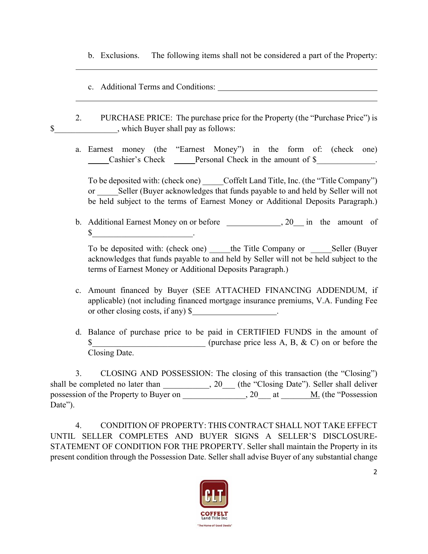- b. Exclusions. The following items shall not be considered a part of the Property:
- c. Additional Terms and Conditions:

 $\overline{a}$ 

- 2. PURCHASE PRICE: The purchase price for the Property (the "Purchase Price") is \$ , which Buyer shall pay as follows:
	- a. Earnest money (the "Earnest Money") in the form of: (check one) \_\_\_\_\_Cashier's Check \_\_\_\_\_Personal Check in the amount of \$\_\_\_\_\_\_\_\_\_\_\_\_\_\_.

To be deposited with: (check one) Coffelt Land Title, Inc. (the "Title Company") or Seller (Buyer acknowledges that funds payable to and held by Seller will not be held subject to the terms of Earnest Money or Additional Deposits Paragraph.)

b. Additional Earnest Money on or before , 20 in the amount of  $\mathbb{S}$   $\qquad \qquad \qquad$ 

To be deposited with: (check one) the Title Company or Seller (Buyer acknowledges that funds payable to and held by Seller will not be held subject to the terms of Earnest Money or Additional Deposits Paragraph.)

- c. Amount financed by Buyer (SEE ATTACHED FINANCING ADDENDUM, if applicable) (not including financed mortgage insurance premiums, V.A. Funding Fee or other closing costs, if any) \$
- d. Balance of purchase price to be paid in CERTIFIED FUNDS in the amount of \$ (purchase price less A, B, & C) on or before the Closing Date.

3. CLOSING AND POSSESSION: The closing of this transaction (the "Closing") shall be completed no later than  $\qquad \qquad , 20$  (the "Closing Date"). Seller shall deliver possession of the Property to Buyer on \_\_\_\_\_\_\_\_\_\_\_\_, 20\_\_\_ at \_\_\_\_\_<u>M.</u> (the "Possession Date").

4. CONDITION OF PROPERTY: THIS CONTRACT SHALL NOT TAKE EFFECT UNTIL SELLER COMPLETES AND BUYER SIGNS A SELLER'S DISCLOSURE-STATEMENT OF CONDITION FOR THE PROPERTY. Seller shall maintain the Property in its present condition through the Possession Date. Seller shall advise Buyer of any substantial change

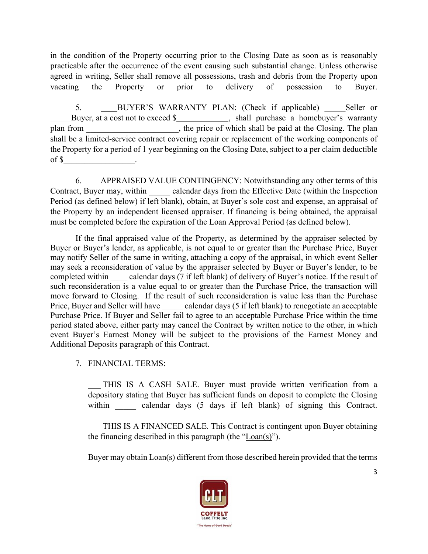in the condition of the Property occurring prior to the Closing Date as soon as is reasonably practicable after the occurrence of the event causing such substantial change. Unless otherwise agreed in writing, Seller shall remove all possessions, trash and debris from the Property upon vacating the Property or prior to delivery of possession to Buyer.

5. BUYER'S WARRANTY PLAN: (Check if applicable) Seller or Buyer, at a cost not to exceed \$ plan from \_\_\_\_\_\_\_\_\_\_\_\_\_\_\_\_\_\_\_, the price of which shall be paid at the Closing. The plan shall be a limited-service contract covering repair or replacement of the working components of the Property for a period of 1 year beginning on the Closing Date, subject to a per claim deductible of \$

6. APPRAISED VALUE CONTINGENCY: Notwithstanding any other terms of this Contract, Buyer may, within calendar days from the Effective Date (within the Inspection Period (as defined below) if left blank), obtain, at Buyer's sole cost and expense, an appraisal of the Property by an independent licensed appraiser. If financing is being obtained, the appraisal must be completed before the expiration of the Loan Approval Period (as defined below).

If the final appraised value of the Property, as determined by the appraiser selected by Buyer or Buyer's lender, as applicable, is not equal to or greater than the Purchase Price, Buyer may notify Seller of the same in writing, attaching a copy of the appraisal, in which event Seller may seek a reconsideration of value by the appraiser selected by Buyer or Buyer's lender, to be completed within calendar days (7 if left blank) of delivery of Buyer's notice. If the result of such reconsideration is a value equal to or greater than the Purchase Price, the transaction will move forward to Closing. If the result of such reconsideration is value less than the Purchase Price, Buyer and Seller will have calendar days (5 if left blank) to renegotiate an acceptable Purchase Price. If Buyer and Seller fail to agree to an acceptable Purchase Price within the time period stated above, either party may cancel the Contract by written notice to the other, in which event Buyer's Earnest Money will be subject to the provisions of the Earnest Money and Additional Deposits paragraph of this Contract.

7. FINANCIAL TERMS:

 THIS IS A CASH SALE. Buyer must provide written verification from a depository stating that Buyer has sufficient funds on deposit to complete the Closing within calendar days (5 days if left blank) of signing this Contract.

 THIS IS A FINANCED SALE. This Contract is contingent upon Buyer obtaining the financing described in this paragraph (the "Loan(s)").

Buyer may obtain Loan(s) different from those described herein provided that the terms

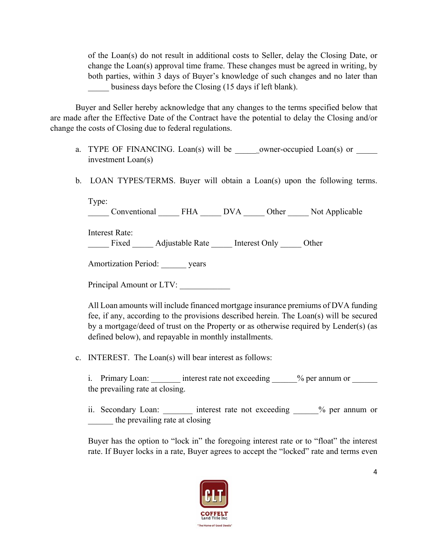of the Loan(s) do not result in additional costs to Seller, delay the Closing Date, or change the Loan(s) approval time frame. These changes must be agreed in writing, by both parties, within 3 days of Buyer's knowledge of such changes and no later than business days before the Closing (15 days if left blank).

Buyer and Seller hereby acknowledge that any changes to the terms specified below that are made after the Effective Date of the Contract have the potential to delay the Closing and/or change the costs of Closing due to federal regulations.

- a. TYPE OF FINANCING. Loan(s) will be \_\_\_\_\_\_owner-occupied Loan(s) or \_\_\_\_\_ investment Loan(s)
- b. LOAN TYPES/TERMS. Buyer will obtain a Loan(s) upon the following terms.

Type: \_\_\_\_\_ Conventional \_\_\_\_\_ FHA \_\_\_\_\_ DVA \_\_\_\_\_ Other \_\_\_\_\_ Not Applicable

Interest Rate:

Fixed Adjustable Rate Interest Only Other

Amortization Period: years

Principal Amount or LTV:

All Loan amounts will include financed mortgage insurance premiums of DVA funding fee, if any, according to the provisions described herein. The Loan(s) will be secured by a mortgage/deed of trust on the Property or as otherwise required by Lender(s) (as defined below), and repayable in monthly installments.

c. INTEREST. The Loan(s) will bear interest as follows:

i. Primary Loan: interest rate not exceeding  $\%$  per annum or the prevailing rate at closing.

ii. Secondary Loan: \_\_\_\_\_\_\_ interest rate not exceeding \_\_\_\_\_% per annum or the prevailing rate at closing

Buyer has the option to "lock in" the foregoing interest rate or to "float" the interest rate. If Buyer locks in a rate, Buyer agrees to accept the "locked" rate and terms even

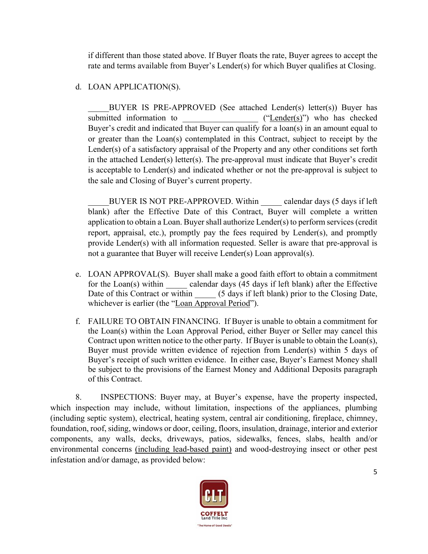if different than those stated above. If Buyer floats the rate, Buyer agrees to accept the rate and terms available from Buyer's Lender(s) for which Buyer qualifies at Closing.

### d. LOAN APPLICATION(S).

BUYER IS PRE-APPROVED (See attached Lender(s) letter(s)) Buyer has submitted information to  $("Lender(s)" )$  who has checked Buyer's credit and indicated that Buyer can qualify for a loan(s) in an amount equal to or greater than the Loan(s) contemplated in this Contract, subject to receipt by the Lender(s) of a satisfactory appraisal of the Property and any other conditions set forth in the attached Lender(s) letter(s). The pre-approval must indicate that Buyer's credit is acceptable to Lender(s) and indicated whether or not the pre-approval is subject to the sale and Closing of Buyer's current property.

BUYER IS NOT PRE-APPROVED. Within calendar days (5 days if left blank) after the Effective Date of this Contract, Buyer will complete a written application to obtain a Loan. Buyer shall authorize Lender(s) to perform services (credit report, appraisal, etc.), promptly pay the fees required by Lender(s), and promptly provide Lender(s) with all information requested. Seller is aware that pre-approval is not a guarantee that Buyer will receive Lender(s) Loan approval(s).

- e. LOAN APPROVAL(S). Buyer shall make a good faith effort to obtain a commitment for the Loan(s) within calendar days (45 days if left blank) after the Effective Date of this Contract or within  $(5 \text{ days if left blank})$  prior to the Closing Date, whichever is earlier (the "Loan Approval Period").
- f. FAILURE TO OBTAIN FINANCING. If Buyer is unable to obtain a commitment for the Loan(s) within the Loan Approval Period, either Buyer or Seller may cancel this Contract upon written notice to the other party. If Buyer is unable to obtain the Loan(s), Buyer must provide written evidence of rejection from Lender(s) within 5 days of Buyer's receipt of such written evidence. In either case, Buyer's Earnest Money shall be subject to the provisions of the Earnest Money and Additional Deposits paragraph of this Contract.

8. INSPECTIONS: Buyer may, at Buyer's expense, have the property inspected, which inspection may include, without limitation, inspections of the appliances, plumbing (including septic system), electrical, heating system, central air conditioning, fireplace, chimney, foundation, roof, siding, windows or door, ceiling, floors, insulation, drainage, interior and exterior components, any walls, decks, driveways, patios, sidewalks, fences, slabs, health and/or environmental concerns (including lead-based paint) and wood-destroying insect or other pest infestation and/or damage, as provided below:

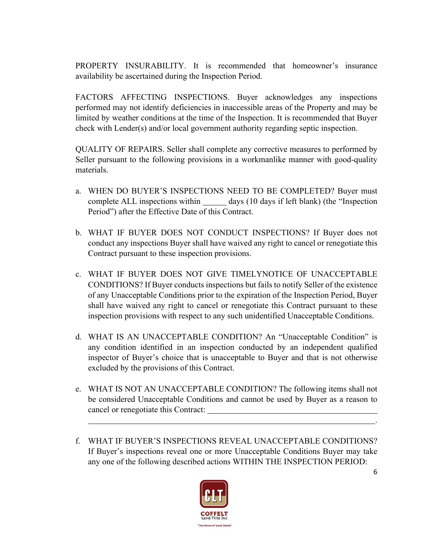PROPERTY INSURABILITY. It is recommended that homeowner's insurance availability be ascertained during the Inspection Period.

FACTORS AFFECTING INSPECTIONS. Buyer acknowledges any inspections performed may not identify deficiencies in inaccessible areas of the Property and may be limited by weather conditions at the time of the Inspection. It is recommended that Buyer check with Lender(s) and/or local government authority regarding septic inspection.

QUALITY OF REPAIRS. Seller shall complete any corrective measures to performed by Seller pursuant to the following provisions in a workmanlike manner with good-quality materials.

- a. WHEN DO BUYER'S INSPECTIONS NEED TO BE COMPLETED? Buyer must complete ALL inspections within days (10 days if left blank) (the "Inspection Period") after the Effective Date of this Contract.
- b. WHAT IF BUYER DOES NOT CONDUCT INSPECTIONS? If Buyer does not conduct any inspections Buyer shall have waived any right to cancel or renegotiate this Contract pursuant to these inspection provisions.
- c. WHAT IF BUYER DOES NOT GIVE TIMELYNOTICE OF UNACCEPTABLE CONDITIONS? If Buyer conducts inspections but fails to notify Seller of the existence of any Unacceptable Conditions prior to the expiration of the Inspection Period, Buyer shall have waived any right to cancel or renegotiate this Contract pursuant to these inspection provisions with respect to any such unidentified Unacceptable Conditions.
- d. WHAT IS AN UNACCEPTABLE CONDITION? An "Unacceptable Condition" is any condition identified in an inspection conducted by an independent qualified inspector of Buyer's choice that is unacceptable to Buyer and that is not otherwise excluded by the provisions of this Contract.
- e. WHAT IS NOT AN UNACCEPTABLE CONDITION? The following items shall not be considered Unacceptable Conditions and cannot be used by Buyer as a reason to cancel or renegotiate this Contract:

.

f. WHAT IF BUYER'S INSPECTIONS REVEAL UNACCEPTABLE CONDITIONS? If Buyer's inspections reveal one or more Unacceptable Conditions Buyer may take any one of the following described actions WITHIN THE INSPECTION PERIOD:

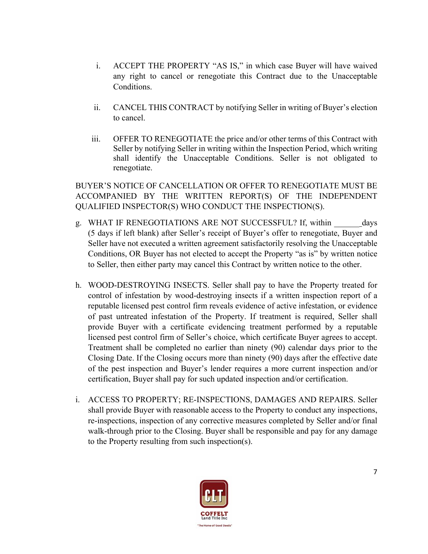- i. ACCEPT THE PROPERTY "AS IS," in which case Buyer will have waived any right to cancel or renegotiate this Contract due to the Unacceptable Conditions.
- ii. CANCEL THIS CONTRACT by notifying Seller in writing of Buyer's election to cancel.
- iii. OFFER TO RENEGOTIATE the price and/or other terms of this Contract with Seller by notifying Seller in writing within the Inspection Period, which writing shall identify the Unacceptable Conditions. Seller is not obligated to renegotiate.

BUYER'S NOTICE OF CANCELLATION OR OFFER TO RENEGOTIATE MUST BE ACCOMPANIED BY THE WRITTEN REPORT(S) OF THE INDEPENDENT QUALIFIED INSPECTOR(S) WHO CONDUCT THE INSPECTION(S).

- g. WHAT IF RENEGOTIATIONS ARE NOT SUCCESSFUL? If, within \_\_\_\_\_\_\_\_ days (5 days if left blank) after Seller's receipt of Buyer's offer to renegotiate, Buyer and Seller have not executed a written agreement satisfactorily resolving the Unacceptable Conditions, OR Buyer has not elected to accept the Property "as is" by written notice to Seller, then either party may cancel this Contract by written notice to the other.
- h. WOOD-DESTROYING INSECTS. Seller shall pay to have the Property treated for control of infestation by wood-destroying insects if a written inspection report of a reputable licensed pest control firm reveals evidence of active infestation, or evidence of past untreated infestation of the Property. If treatment is required, Seller shall provide Buyer with a certificate evidencing treatment performed by a reputable licensed pest control firm of Seller's choice, which certificate Buyer agrees to accept. Treatment shall be completed no earlier than ninety (90) calendar days prior to the Closing Date. If the Closing occurs more than ninety (90) days after the effective date of the pest inspection and Buyer's lender requires a more current inspection and/or certification, Buyer shall pay for such updated inspection and/or certification.
- i. ACCESS TO PROPERTY; RE-INSPECTIONS, DAMAGES AND REPAIRS. Seller shall provide Buyer with reasonable access to the Property to conduct any inspections, re-inspections, inspection of any corrective measures completed by Seller and/or final walk-through prior to the Closing. Buyer shall be responsible and pay for any damage to the Property resulting from such inspection(s).

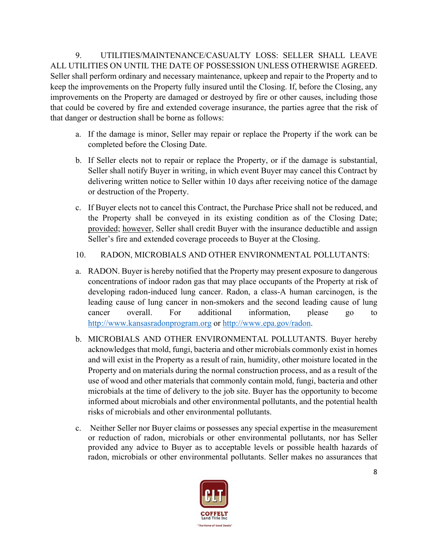9. UTILITIES/MAINTENANCE/CASUALTY LOSS: SELLER SHALL LEAVE ALL UTILITIES ON UNTIL THE DATE OF POSSESSION UNLESS OTHERWISE AGREED. Seller shall perform ordinary and necessary maintenance, upkeep and repair to the Property and to keep the improvements on the Property fully insured until the Closing. If, before the Closing, any improvements on the Property are damaged or destroyed by fire or other causes, including those that could be covered by fire and extended coverage insurance, the parties agree that the risk of that danger or destruction shall be borne as follows:

- a. If the damage is minor, Seller may repair or replace the Property if the work can be completed before the Closing Date.
- b. If Seller elects not to repair or replace the Property, or if the damage is substantial, Seller shall notify Buyer in writing, in which event Buyer may cancel this Contract by delivering written notice to Seller within 10 days after receiving notice of the damage or destruction of the Property.
- c. If Buyer elects not to cancel this Contract, the Purchase Price shall not be reduced, and the Property shall be conveyed in its existing condition as of the Closing Date; provided; however, Seller shall credit Buyer with the insurance deductible and assign Seller's fire and extended coverage proceeds to Buyer at the Closing.

# 10. RADON, MICROBIALS AND OTHER ENVIRONMENTAL POLLUTANTS:

- a. RADON. Buyer is hereby notified that the Property may present exposure to dangerous concentrations of indoor radon gas that may place occupants of the Property at risk of developing radon-induced lung cancer. Radon, a class-A human carcinogen, is the leading cause of lung cancer in non-smokers and the second leading cause of lung cancer overall. For additional information, please go to http://www.kansasradonprogram.org or http://www.epa.gov/radon.
- b. MICROBIALS AND OTHER ENVIRONMENTAL POLLUTANTS. Buyer hereby acknowledges that mold, fungi, bacteria and other microbials commonly exist in homes and will exist in the Property as a result of rain, humidity, other moisture located in the Property and on materials during the normal construction process, and as a result of the use of wood and other materials that commonly contain mold, fungi, bacteria and other microbials at the time of delivery to the job site. Buyer has the opportunity to become informed about microbials and other environmental pollutants, and the potential health risks of microbials and other environmental pollutants.
- c. Neither Seller nor Buyer claims or possesses any special expertise in the measurement or reduction of radon, microbials or other environmental pollutants, nor has Seller provided any advice to Buyer as to acceptable levels or possible health hazards of radon, microbials or other environmental pollutants. Seller makes no assurances that

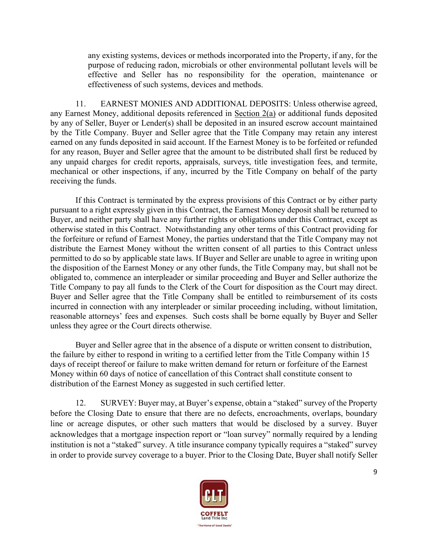any existing systems, devices or methods incorporated into the Property, if any, for the purpose of reducing radon, microbials or other environmental pollutant levels will be effective and Seller has no responsibility for the operation, maintenance or effectiveness of such systems, devices and methods.

11. EARNEST MONIES AND ADDITIONAL DEPOSITS: Unless otherwise agreed, any Earnest Money, additional deposits referenced in Section 2(a) or additional funds deposited by any of Seller, Buyer or Lender(s) shall be deposited in an insured escrow account maintained by the Title Company. Buyer and Seller agree that the Title Company may retain any interest earned on any funds deposited in said account. If the Earnest Money is to be forfeited or refunded for any reason, Buyer and Seller agree that the amount to be distributed shall first be reduced by any unpaid charges for credit reports, appraisals, surveys, title investigation fees, and termite, mechanical or other inspections, if any, incurred by the Title Company on behalf of the party receiving the funds.

If this Contract is terminated by the express provisions of this Contract or by either party pursuant to a right expressly given in this Contract, the Earnest Money deposit shall be returned to Buyer, and neither party shall have any further rights or obligations under this Contract, except as otherwise stated in this Contract. Notwithstanding any other terms of this Contract providing for the forfeiture or refund of Earnest Money, the parties understand that the Title Company may not distribute the Earnest Money without the written consent of all parties to this Contract unless permitted to do so by applicable state laws. If Buyer and Seller are unable to agree in writing upon the disposition of the Earnest Money or any other funds, the Title Company may, but shall not be obligated to, commence an interpleader or similar proceeding and Buyer and Seller authorize the Title Company to pay all funds to the Clerk of the Court for disposition as the Court may direct. Buyer and Seller agree that the Title Company shall be entitled to reimbursement of its costs incurred in connection with any interpleader or similar proceeding including, without limitation, reasonable attorneys' fees and expenses. Such costs shall be borne equally by Buyer and Seller unless they agree or the Court directs otherwise.

Buyer and Seller agree that in the absence of a dispute or written consent to distribution, the failure by either to respond in writing to a certified letter from the Title Company within 15 days of receipt thereof or failure to make written demand for return or forfeiture of the Earnest Money within 60 days of notice of cancellation of this Contract shall constitute consent to distribution of the Earnest Money as suggested in such certified letter.

12. SURVEY: Buyer may, at Buyer's expense, obtain a "staked" survey of the Property before the Closing Date to ensure that there are no defects, encroachments, overlaps, boundary line or acreage disputes, or other such matters that would be disclosed by a survey. Buyer acknowledges that a mortgage inspection report or "loan survey" normally required by a lending institution is not a "staked" survey. A title insurance company typically requires a "staked" survey in order to provide survey coverage to a buyer. Prior to the Closing Date, Buyer shall notify Seller

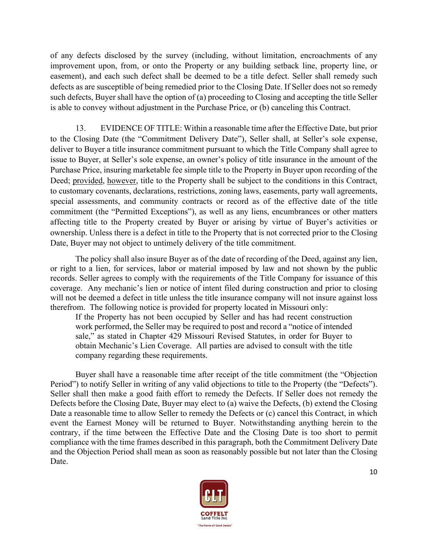of any defects disclosed by the survey (including, without limitation, encroachments of any improvement upon, from, or onto the Property or any building setback line, property line, or easement), and each such defect shall be deemed to be a title defect. Seller shall remedy such defects as are susceptible of being remedied prior to the Closing Date. If Seller does not so remedy such defects, Buyer shall have the option of (a) proceeding to Closing and accepting the title Seller is able to convey without adjustment in the Purchase Price, or (b) canceling this Contract.

13. EVIDENCE OF TITLE: Within a reasonable time after the Effective Date, but prior to the Closing Date (the "Commitment Delivery Date"), Seller shall, at Seller's sole expense, deliver to Buyer a title insurance commitment pursuant to which the Title Company shall agree to issue to Buyer, at Seller's sole expense, an owner's policy of title insurance in the amount of the Purchase Price, insuring marketable fee simple title to the Property in Buyer upon recording of the Deed; provided, however, title to the Property shall be subject to the conditions in this Contract, to customary covenants, declarations, restrictions, zoning laws, easements, party wall agreements, special assessments, and community contracts or record as of the effective date of the title commitment (the "Permitted Exceptions"), as well as any liens, encumbrances or other matters affecting title to the Property created by Buyer or arising by virtue of Buyer's activities or ownership. Unless there is a defect in title to the Property that is not corrected prior to the Closing Date, Buyer may not object to untimely delivery of the title commitment.

The policy shall also insure Buyer as of the date of recording of the Deed, against any lien, or right to a lien, for services, labor or material imposed by law and not shown by the public records. Seller agrees to comply with the requirements of the Title Company for issuance of this coverage. Any mechanic's lien or notice of intent filed during construction and prior to closing will not be deemed a defect in title unless the title insurance company will not insure against loss therefrom. The following notice is provided for property located in Missouri only:

If the Property has not been occupied by Seller and has had recent construction work performed, the Seller may be required to post and record a "notice of intended sale," as stated in Chapter 429 Missouri Revised Statutes, in order for Buyer to obtain Mechanic's Lien Coverage. All parties are advised to consult with the title company regarding these requirements.

Buyer shall have a reasonable time after receipt of the title commitment (the "Objection Period") to notify Seller in writing of any valid objections to title to the Property (the "Defects"). Seller shall then make a good faith effort to remedy the Defects. If Seller does not remedy the Defects before the Closing Date, Buyer may elect to (a) waive the Defects, (b) extend the Closing Date a reasonable time to allow Seller to remedy the Defects or (c) cancel this Contract, in which event the Earnest Money will be returned to Buyer. Notwithstanding anything herein to the contrary, if the time between the Effective Date and the Closing Date is too short to permit compliance with the time frames described in this paragraph, both the Commitment Delivery Date and the Objection Period shall mean as soon as reasonably possible but not later than the Closing Date.

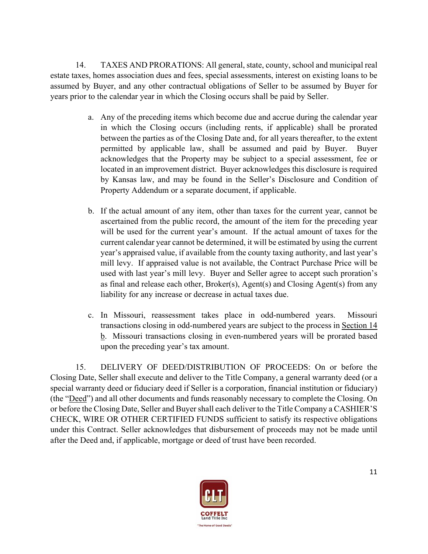14. TAXES AND PRORATIONS: All general, state, county, school and municipal real estate taxes, homes association dues and fees, special assessments, interest on existing loans to be assumed by Buyer, and any other contractual obligations of Seller to be assumed by Buyer for years prior to the calendar year in which the Closing occurs shall be paid by Seller.

- a. Any of the preceding items which become due and accrue during the calendar year in which the Closing occurs (including rents, if applicable) shall be prorated between the parties as of the Closing Date and, for all years thereafter, to the extent permitted by applicable law, shall be assumed and paid by Buyer. Buyer acknowledges that the Property may be subject to a special assessment, fee or located in an improvement district. Buyer acknowledges this disclosure is required by Kansas law, and may be found in the Seller's Disclosure and Condition of Property Addendum or a separate document, if applicable.
- b. If the actual amount of any item, other than taxes for the current year, cannot be ascertained from the public record, the amount of the item for the preceding year will be used for the current year's amount. If the actual amount of taxes for the current calendar year cannot be determined, it will be estimated by using the current year's appraised value, if available from the county taxing authority, and last year's mill levy. If appraised value is not available, the Contract Purchase Price will be used with last year's mill levy. Buyer and Seller agree to accept such proration's as final and release each other, Broker(s), Agent(s) and Closing Agent(s) from any liability for any increase or decrease in actual taxes due.
- c. In Missouri, reassessment takes place in odd-numbered years. Missouri transactions closing in odd-numbered years are subject to the process in Section 14 b. Missouri transactions closing in even-numbered years will be prorated based upon the preceding year's tax amount.

15. DELIVERY OF DEED/DISTRIBUTION OF PROCEEDS: On or before the Closing Date, Seller shall execute and deliver to the Title Company, a general warranty deed (or a special warranty deed or fiduciary deed if Seller is a corporation, financial institution or fiduciary) (the "Deed") and all other documents and funds reasonably necessary to complete the Closing. On or before the Closing Date, Seller and Buyer shall each deliver to the Title Company a CASHIER'S CHECK, WIRE OR OTHER CERTIFIED FUNDS sufficient to satisfy its respective obligations under this Contract. Seller acknowledges that disbursement of proceeds may not be made until after the Deed and, if applicable, mortgage or deed of trust have been recorded.

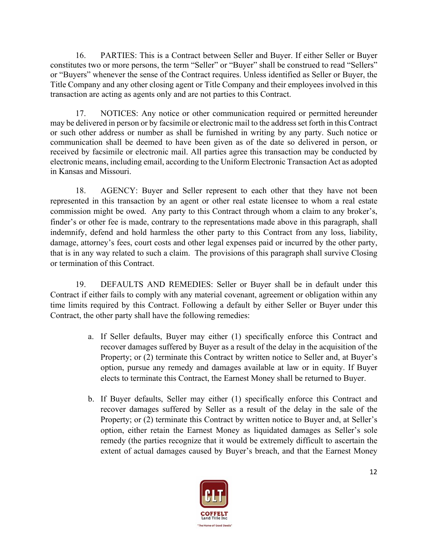16. PARTIES: This is a Contract between Seller and Buyer. If either Seller or Buyer constitutes two or more persons, the term "Seller" or "Buyer" shall be construed to read "Sellers" or "Buyers" whenever the sense of the Contract requires. Unless identified as Seller or Buyer, the Title Company and any other closing agent or Title Company and their employees involved in this transaction are acting as agents only and are not parties to this Contract.

17. NOTICES: Any notice or other communication required or permitted hereunder may be delivered in person or by facsimile or electronic mail to the address set forth in this Contract or such other address or number as shall be furnished in writing by any party. Such notice or communication shall be deemed to have been given as of the date so delivered in person, or received by facsimile or electronic mail. All parties agree this transaction may be conducted by electronic means, including email, according to the Uniform Electronic Transaction Act as adopted in Kansas and Missouri.

18. AGENCY: Buyer and Seller represent to each other that they have not been represented in this transaction by an agent or other real estate licensee to whom a real estate commission might be owed. Any party to this Contract through whom a claim to any broker's, finder's or other fee is made, contrary to the representations made above in this paragraph, shall indemnify, defend and hold harmless the other party to this Contract from any loss, liability, damage, attorney's fees, court costs and other legal expenses paid or incurred by the other party, that is in any way related to such a claim. The provisions of this paragraph shall survive Closing or termination of this Contract.

19. DEFAULTS AND REMEDIES: Seller or Buyer shall be in default under this Contract if either fails to comply with any material covenant, agreement or obligation within any time limits required by this Contract. Following a default by either Seller or Buyer under this Contract, the other party shall have the following remedies:

- a. If Seller defaults, Buyer may either (1) specifically enforce this Contract and recover damages suffered by Buyer as a result of the delay in the acquisition of the Property; or (2) terminate this Contract by written notice to Seller and, at Buyer's option, pursue any remedy and damages available at law or in equity. If Buyer elects to terminate this Contract, the Earnest Money shall be returned to Buyer.
- b. If Buyer defaults, Seller may either (1) specifically enforce this Contract and recover damages suffered by Seller as a result of the delay in the sale of the Property; or (2) terminate this Contract by written notice to Buyer and, at Seller's option, either retain the Earnest Money as liquidated damages as Seller's sole remedy (the parties recognize that it would be extremely difficult to ascertain the extent of actual damages caused by Buyer's breach, and that the Earnest Money

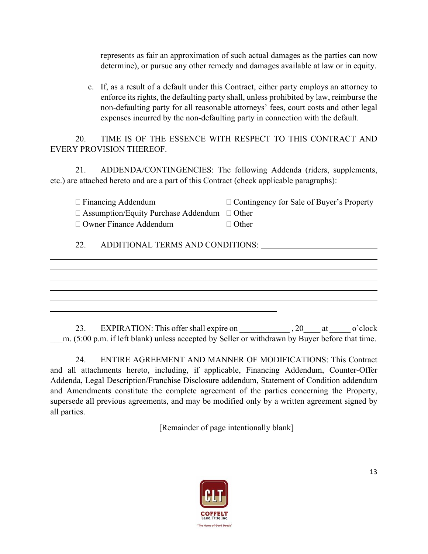represents as fair an approximation of such actual damages as the parties can now determine), or pursue any other remedy and damages available at law or in equity.

c. If, as a result of a default under this Contract, either party employs an attorney to enforce its rights, the defaulting party shall, unless prohibited by law, reimburse the non-defaulting party for all reasonable attorneys' fees, court costs and other legal expenses incurred by the non-defaulting party in connection with the default.

20. TIME IS OF THE ESSENCE WITH RESPECT TO THIS CONTRACT AND EVERY PROVISION THEREOF.

21. ADDENDA/CONTINGENCIES: The following Addenda (riders, supplements, etc.) are attached hereto and are a part of this Contract (check applicable paragraphs):

| $\Box$ Financing Addendum                               | $\Box$ Contingency for Sale of Buyer's Property |
|---------------------------------------------------------|-------------------------------------------------|
| $\Box$ Assumption/Equity Purchase Addendum $\Box$ Other |                                                 |
| $\Box$ Owner Finance Addendum                           | $\Box$ Other                                    |

22. ADDITIONAL TERMS AND CONDITIONS:

 $\overline{a}$ 

 $\overline{a}$ 

23. EXPIRATION: This offer shall expire on \_\_\_\_\_\_\_\_\_\_\_\_\_\_, 20\_\_\_\_ at \_\_\_\_\_\_ o'clock m. (5:00 p.m. if left blank) unless accepted by Seller or withdrawn by Buyer before that time.

24. ENTIRE AGREEMENT AND MANNER OF MODIFICATIONS: This Contract and all attachments hereto, including, if applicable, Financing Addendum, Counter-Offer Addenda, Legal Description/Franchise Disclosure addendum, Statement of Condition addendum and Amendments constitute the complete agreement of the parties concerning the Property, supersede all previous agreements, and may be modified only by a written agreement signed by all parties.

[Remainder of page intentionally blank]

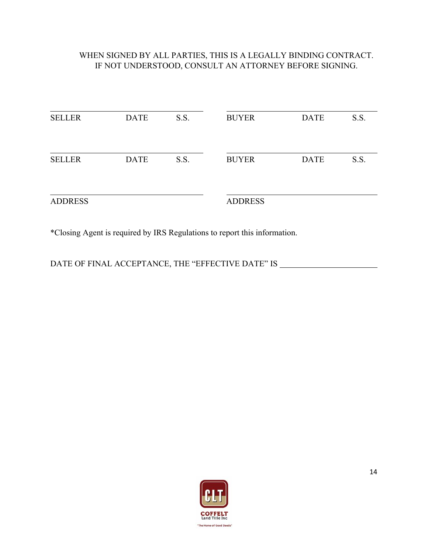# WHEN SIGNED BY ALL PARTIES, THIS IS A LEGALLY BINDING CONTRACT. IF NOT UNDERSTOOD, CONSULT AN ATTORNEY BEFORE SIGNING.

| <b>SELLER</b>  | <b>DATE</b> | S.S. | <b>BUYER</b>   | <b>DATE</b> | S.S. |
|----------------|-------------|------|----------------|-------------|------|
| <b>SELLER</b>  | <b>DATE</b> | S.S. | <b>BUYER</b>   | <b>DATE</b> | S.S. |
| <b>ADDRESS</b> |             |      | <b>ADDRESS</b> |             |      |

\*Closing Agent is required by IRS Regulations to report this information.

DATE OF FINAL ACCEPTANCE, THE "EFFECTIVE DATE" IS \_\_\_\_\_\_\_\_\_\_\_\_\_\_\_\_\_\_\_\_\_\_\_\_\_\_\_\_\_\_

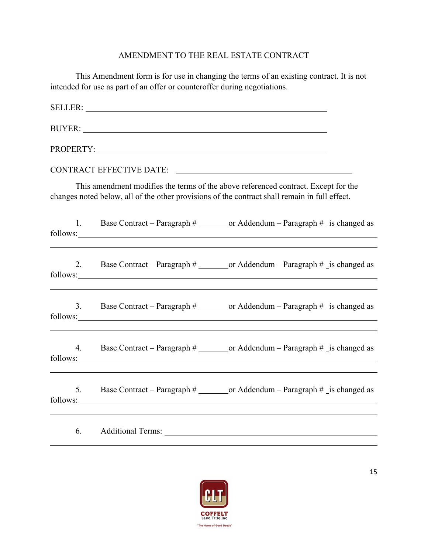# AMENDMENT TO THE REAL ESTATE CONTRACT

|    | This Amendment form is for use in changing the terms of an existing contract. It is not<br>intended for use as part of an offer or counteroffer during negotiations.                                                                                                                                                  |
|----|-----------------------------------------------------------------------------------------------------------------------------------------------------------------------------------------------------------------------------------------------------------------------------------------------------------------------|
|    |                                                                                                                                                                                                                                                                                                                       |
|    |                                                                                                                                                                                                                                                                                                                       |
|    | PROPERTY: Network of the Contract of the Contract of the Contract of the Contract of the Contract of the Contract of the Contract of the Contract of the Contract of the Contract of the Contract of the Contract of the Contr                                                                                        |
|    | <b>CONTRACT EFFECTIVE DATE:</b>                                                                                                                                                                                                                                                                                       |
|    | This amendment modifies the terms of the above referenced contract. Except for the<br>changes noted below, all of the other provisions of the contract shall remain in full effect.                                                                                                                                   |
|    | 1. Base Contract – Paragraph # or Addendum – Paragraph # is changed as<br>follows:                                                                                                                                                                                                                                    |
| 2. | Base Contract – Paragraph # _________ or Addendum – Paragraph # _is changed as                                                                                                                                                                                                                                        |
| 3. |                                                                                                                                                                                                                                                                                                                       |
| 4. | Base Contract – Paragraph # _________ or Addendum – Paragraph # _is changed as<br>follows: <u>contract the contract of the contract of</u> the contract of the contract of the contract of the contract of the contract of the contract of the contract of the contract of the contract of the contract of the contra |
|    | 5. Base Contract – Paragraph # ________ or Addendum – Paragraph # _is changed as<br>follows:                                                                                                                                                                                                                          |
| 6. | <b>Additional Terms:</b>                                                                                                                                                                                                                                                                                              |



 $\overline{a}$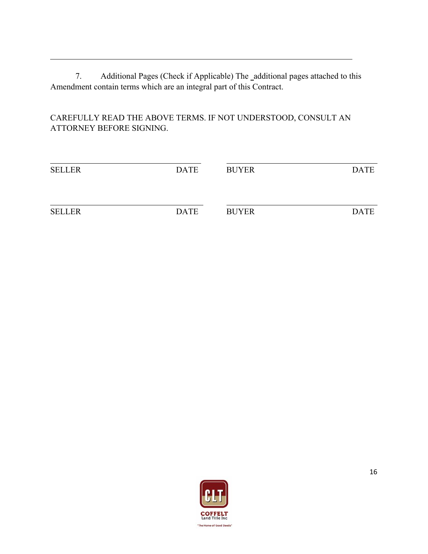7. Additional Pages (Check if Applicable) The \_additional pages attached to this Amendment contain terms which are an integral part of this Contract.

 $\overline{a}$ 

CAREFULLY READ THE ABOVE TERMS. IF NOT UNDERSTOOD, CONSULT AN ATTORNEY BEFORE SIGNING.

| <b>SELLER</b> | <b>DATE</b> | <b>BUYER</b> | <b>DATE</b> |
|---------------|-------------|--------------|-------------|
|               |             |              |             |
| <b>SELLER</b> | <b>DATE</b> | <b>BUYER</b> | <b>DATE</b> |

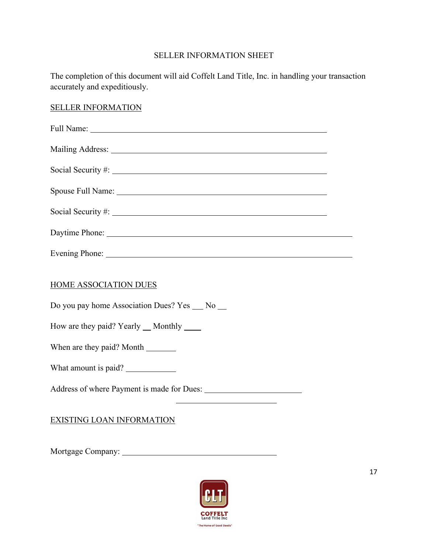# SELLER INFORMATION SHEET

The completion of this document will aid Coffelt Land Title, Inc. in handling your transaction accurately and expeditiously.

### SELLER INFORMATION

| Daytime Phone: 2008 and 2008 and 2008 and 2008 and 2008 and 2008 and 2008 and 2008 and 2008 and 2008 and 2008 and 2008 and 2008 and 2008 and 2008 and 2008 and 2008 and 2008 and 2008 and 2008 and 2008 and 2008 and 2008 and |  |  |  |  |
|-------------------------------------------------------------------------------------------------------------------------------------------------------------------------------------------------------------------------------|--|--|--|--|
| Evening Phone: New York Changes and School Changes and School Changes and School Changes and School Changes and School Changes and School Changes and School Changes and School Changes and School Changes and School Changes |  |  |  |  |
| HOME ASSOCIATION DUES<br>Do you pay home Association Dues? Yes __ No __<br>How are they paid? Yearly __ Monthly _____                                                                                                         |  |  |  |  |
|                                                                                                                                                                                                                               |  |  |  |  |
|                                                                                                                                                                                                                               |  |  |  |  |

# EXISTING LOAN INFORMATION

Mortgage Company:

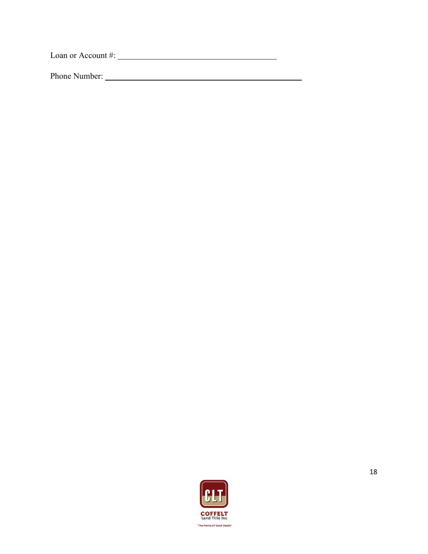Loan or Account #:

Phone Number:

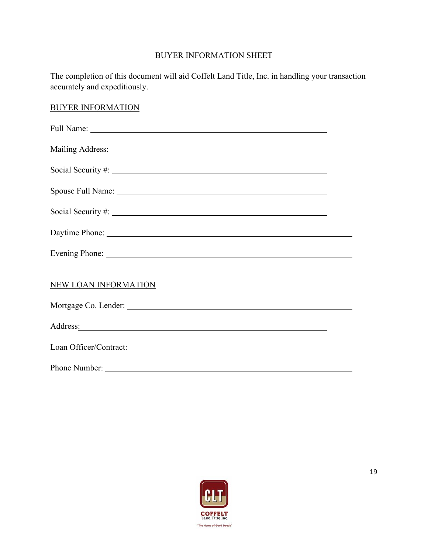# BUYER INFORMATION SHEET

The completion of this document will aid Coffelt Land Title, Inc. in handling your transaction accurately and expeditiously.

### BUYER INFORMATION

| Daytime Phone:                                                                                                                                                                                                                 |  |
|--------------------------------------------------------------------------------------------------------------------------------------------------------------------------------------------------------------------------------|--|
| Evening Phone: New York: New York: New York: New York: New York: New York: New York: New York: New York: New York: New York: New York: New York: New York: New York: New York: New York: New York: New York: New York: New Yor |  |
| <b>NEW LOAN INFORMATION</b>                                                                                                                                                                                                    |  |
|                                                                                                                                                                                                                                |  |
| Address: National Address: National Address: National Address: National Address: National Address: National Address: National Address: National Address: National Address: National Address: National Address: National Addres |  |
|                                                                                                                                                                                                                                |  |
|                                                                                                                                                                                                                                |  |

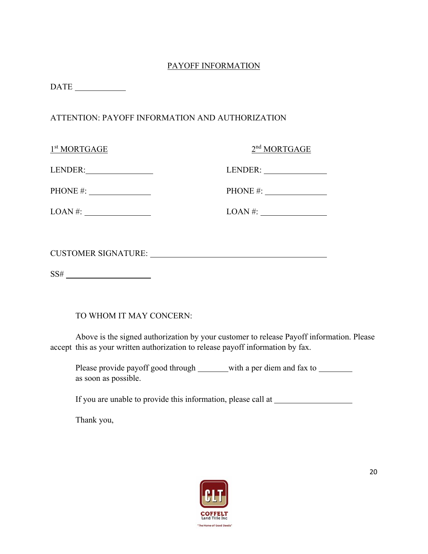# PAYOFF INFORMATION

DATE

## ATTENTION: PAYOFF INFORMATION AND AUTHORIZATION

| 1 <sup>st</sup> MORTGAGE                                         | 2 <sup>nd</sup> MORTGAGE |
|------------------------------------------------------------------|--------------------------|
| LENDER:                                                          |                          |
| PHONE #: $\sqrt{ }$                                              | PHONE #: $\_$            |
| $LOAN \#:$                                                       |                          |
|                                                                  |                          |
|                                                                  |                          |
| SS#<br><u> 1989 - Johann Barnett, fransk politiker (d. 1989)</u> |                          |

TO WHOM IT MAY CONCERN:

 Above is the signed authorization by your customer to release Payoff information. Please accept this as your written authorization to release payoff information by fax.

Please provide payoff good through with a per diem and fax to which a per diem and fax to which provide payoff as soon as possible.

If you are unable to provide this information, please call at

Thank you,

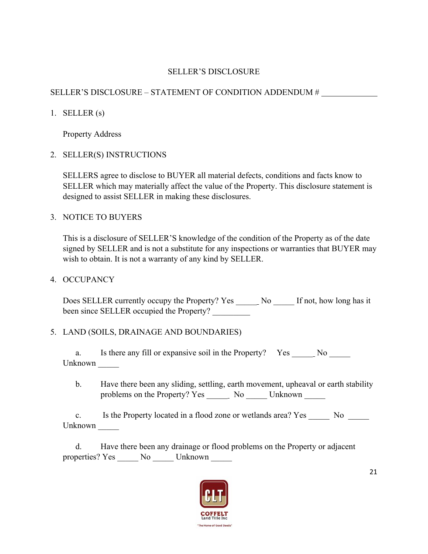### SELLER'S DISCLOSURE

# SELLER'S DISCLOSURE – STATEMENT OF CONDITION ADDENDUM #

1. SELLER  $(s)$ 

Property Address

2. SELLER(S) INSTRUCTIONS

SELLERS agree to disclose to BUYER all material defects, conditions and facts know to SELLER which may materially affect the value of the Property. This disclosure statement is designed to assist SELLER in making these disclosures.

3. NOTICE TO BUYERS

This is a disclosure of SELLER'S knowledge of the condition of the Property as of the date signed by SELLER and is not a substitute for any inspections or warranties that BUYER may wish to obtain. It is not a warranty of any kind by SELLER.

4. OCCUPANCY

Does SELLER currently occupy the Property? Yes No If not, how long has it been since SELLER occupied the Property?

# 5. LAND (SOILS, DRAINAGE AND BOUNDARIES)

a. Is there any fill or expansive soil in the Property? Yes No Unknown \_\_\_\_\_

 b. Have there been any sliding, settling, earth movement, upheaval or earth stability problems on the Property? Yes \_\_\_\_\_\_\_ No \_\_\_\_\_\_ Unknown \_\_\_\_\_\_

c. Is the Property located in a flood zone or wetlands area? Yes \_\_\_\_\_\_ No \_\_\_\_\_ Unknown \_\_\_\_\_\_\_

 d. Have there been any drainage or flood problems on the Property or adjacent properties? Yes \_\_\_\_\_\_ No \_\_\_\_\_\_ Unknown

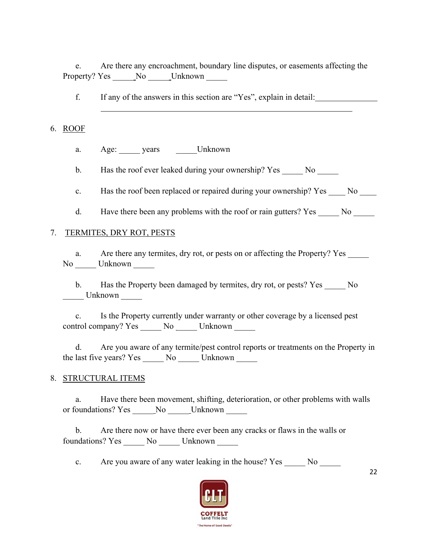e. Are there any encroachment, boundary line disputes, or easements affecting the Property? Yes \_\_\_\_\_\_No \_\_\_\_\_\_Unknown \_\_\_\_\_\_

f. If any of the answers in this section are "Yes", explain in detail:

#### 6. ROOF

a. Age: years Unknown

b. Has the roof ever leaked during your ownership? Yes No

c. Has the roof been replaced or repaired during your ownership? Yes No Let

d. Have there been any problems with the roof or rain gutters? Yes No

### 7. TERMITES, DRY ROT, PESTS

a. Are there any termites, dry rot, or pests on or affecting the Property? Yes No \_\_\_\_\_ Unknown \_\_\_\_\_

b. Has the Property been damaged by termites, dry rot, or pests? Yes No  $\frac{L}{L}$  Unknown  $\frac{L}{L}$ 

 c. Is the Property currently under warranty or other coverage by a licensed pest control company? Yes \_\_\_\_\_\_ No \_\_\_\_\_ Unknown

 d. Are you aware of any termite/pest control reports or treatments on the Property in the last five years? Yes \_\_\_\_\_\_ No \_\_\_\_\_\_ Unknown \_\_\_\_\_\_

#### 8. STRUCTURAL ITEMS

 a. Have there been movement, shifting, deterioration, or other problems with walls or foundations? Yes \_\_\_\_\_ No \_\_\_\_\_ Unknown

 b. Are there now or have there ever been any cracks or flaws in the walls or foundations? Yes \_\_\_\_\_ No \_\_\_\_\_ Unknown \_\_\_\_\_

c. Are you aware of any water leaking in the house? Yes No

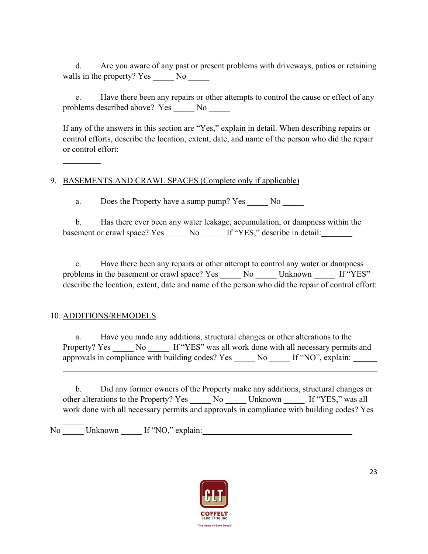d. Are you aware of any past or present problems with driveways, patios or retaining walls in the property? Yes \_\_\_\_\_\_ No \_\_\_\_\_\_

 e. Have there been any repairs or other attempts to control the cause or effect of any problems described above? Yes \_\_\_\_\_ No \_\_\_\_\_

If any of the answers in this section are "Yes," explain in detail. When describing repairs or control efforts, describe the location, extent, date, and name of the person who did the repair or control effort:

### 9. BASEMENTS AND CRAWL SPACES (Complete only if applicable)

a. Does the Property have a sump pump? Yes No

 b. Has there ever been any water leakage, accumulation, or dampness within the basement or crawl space? Yes No If "YES," describe in detail:

 c. Have there been any repairs or other attempt to control any water or dampness problems in the basement or crawl space? Yes No Unknown If "YES" describe the location, extent, date and name of the person who did the repair of control effort:

### 10. ADDITIONS/REMODELS

 $\overline{a}$ 

 $\overline{a}$ 

 $\overline{a}$ 

 a. Have you made any additions, structural changes or other alterations to the Property? Yes No If "YES" was all work done with all necessary permits and approvals in compliance with building codes? Yes No If "NO", explain:

 b. Did any former owners of the Property make any additions, structural changes or other alterations to the Property? Yes No Unknown If "YES," was all work done with all necessary permits and approvals in compliance with building codes? Yes

No Unknown If "NO," explain:

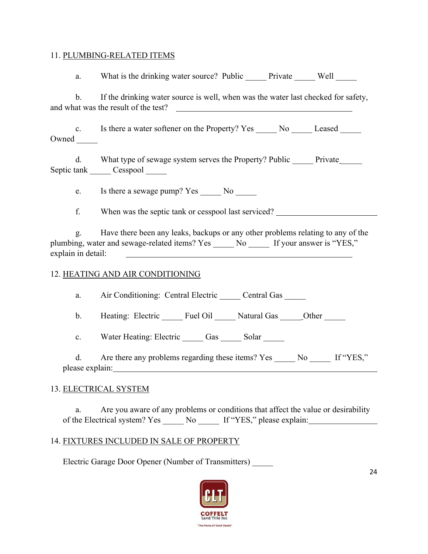#### 11. PLUMBING-RELATED ITEMS

a. What is the drinking water source? Public Private Well b. If the drinking water source is well, when was the water last checked for safety, and what was the result of the test?

c. Is there a water softener on the Property? Yes No Leased Owned

d. What type of sewage system serves the Property? Public Private Septic tank Cesspool

e. Is there a sewage pump? Yes No

f. When was the septic tank or cesspool last serviced?

 g. Have there been any leaks, backups or any other problems relating to any of the plumbing, water and sewage-related items? Yes No If your answer is "YES," explain in detail:

### 12. HEATING AND AIR CONDITIONING

a. Air Conditioning: Central Electric \_\_\_\_\_ Central Gas \_\_\_\_\_

b. Heating: Electric Fuel Oil Natural Gas Other

c. Water Heating: Electric Gas Solar

d. Are there any problems regarding these items? Yes \_\_\_\_\_\_ No \_\_\_\_\_\_ If "YES," please explain:

# 13. ELECTRICAL SYSTEM

 a. Are you aware of any problems or conditions that affect the value or desirability of the Electrical system? Yes No If "YES," please explain:

# 14. FIXTURES INCLUDED IN SALE OF PROPERTY

Electric Garage Door Opener (Number of Transmitters) \_\_\_\_\_

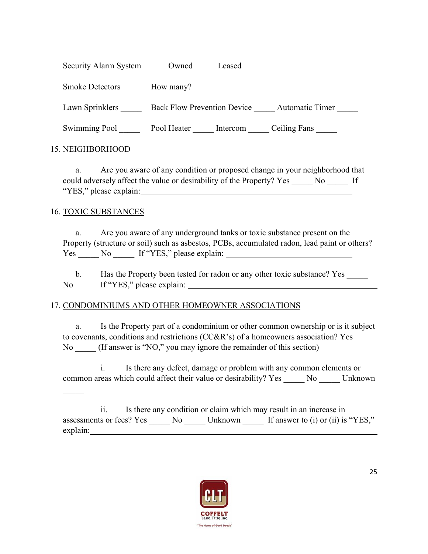Security Alarm System Owned Leased

Smoke Detectors **Let Blow many?** How many?

Lawn Sprinklers \_\_\_\_\_\_\_ Back Flow Prevention Device \_\_\_\_\_ Automatic Timer

Swimming Pool **Fool Heater** Fool Heater Litercom Ceiling Fans

### 15. NEIGHBORHOOD

 a. Are you aware of any condition or proposed change in your neighborhood that could adversely affect the value or desirability of the Property? Yes No Let "YES," please explain:

### 16. TOXIC SUBSTANCES

 a. Are you aware of any underground tanks or toxic substance present on the Property (structure or soil) such as asbestos, PCBs, accumulated radon, lead paint or others? Yes No If "YES," please explain:

b. Has the Property been tested for radon or any other toxic substance? Yes No \_\_\_\_\_ If "YES," please explain:

# 17. CONDOMINIUMS AND OTHER HOMEOWNER ASSOCIATIONS

 a. Is the Property part of a condominium or other common ownership or is it subject to covenants, conditions and restrictions (CC&R's) of a homeowners association? Yes No (If answer is "NO," you may ignore the remainder of this section)

 i. Is there any defect, damage or problem with any common elements or common areas which could affect their value or desirability? Yes No Linknown

 ii. Is there any condition or claim which may result in an increase in assessments or fees? Yes \_\_\_\_\_\_ No \_\_\_\_\_\_ Unknown \_\_\_\_\_\_ If answer to (i) or (ii) is "YES," explain:

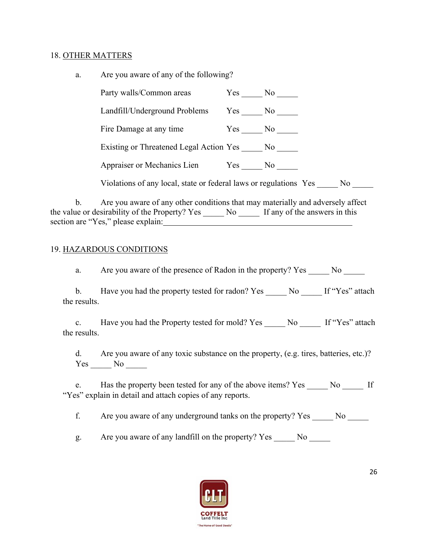#### 18. OTHER MATTERS

| a. | Are you aware of any of the following?                                                                                |        |  |  |  |
|----|-----------------------------------------------------------------------------------------------------------------------|--------|--|--|--|
|    | Party walls/Common areas Yes No                                                                                       |        |  |  |  |
|    | Landfill/Underground Problems Yes No                                                                                  |        |  |  |  |
|    | Fire Damage at any time                                                                                               | Yes No |  |  |  |
|    | Existing or Threatened Legal Action Yes No                                                                            |        |  |  |  |
|    | Appraiser or Mechanics Lien Yes No                                                                                    |        |  |  |  |
|    | Violations of any local, state or federal laws or regulations Yes No                                                  |        |  |  |  |
|    | b. Are you aware of any other conditions that may materially and adversely affect                                     |        |  |  |  |
|    | the value or desirability of the Property? Yes No If any of the answers in this<br>section are "Yes," please explain: |        |  |  |  |

#### 19. HAZARDOUS CONDITIONS

a. Are you aware of the presence of Radon in the property? Yes No No

b. Have you had the property tested for radon? Yes \_\_\_\_\_\_ No \_\_\_\_\_\_ If "Yes" attach the results.

c. Have you had the Property tested for mold? Yes \_\_\_\_\_\_ No \_\_\_\_\_\_ If "Yes" attach the results.

 d. Are you aware of any toxic substance on the property, (e.g. tires, batteries, etc.)? Yes \_\_\_\_\_\_ No \_\_\_\_\_

e. Has the property been tested for any of the above items? Yes No If "Yes" explain in detail and attach copies of any reports.

f. Are you aware of any underground tanks on the property? Yes No

g. Are you aware of any landfill on the property? Yes \_\_\_\_\_\_ No \_\_\_\_\_\_

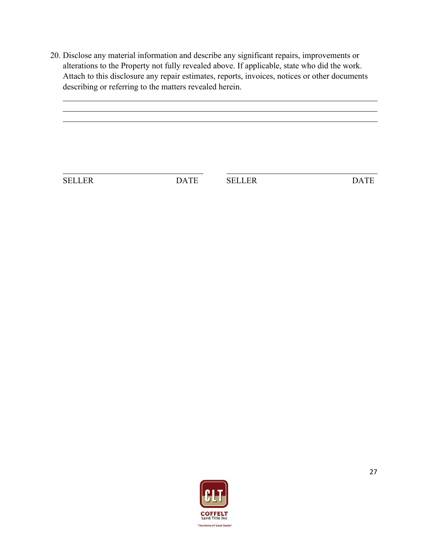20. Disclose any material information and describe any significant repairs, improvements or alterations to the Property not fully revealed above. If applicable, state who did the work. Attach to this disclosure any repair estimates, reports, invoices, notices or other documents describing or referring to the matters revealed herein.

SELLER DATE SELLER DATE

 $\overline{a}$ 

 $\overline{a}$ 

l

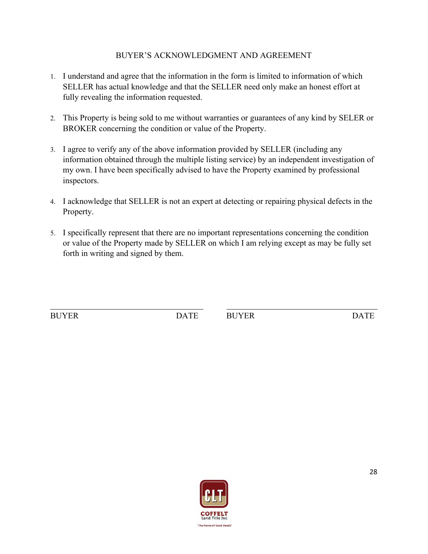### BUYER'S ACKNOWLEDGMENT AND AGREEMENT

- 1. I understand and agree that the information in the form is limited to information of which SELLER has actual knowledge and that the SELLER need only make an honest effort at fully revealing the information requested.
- 2. This Property is being sold to me without warranties or guarantees of any kind by SELER or BROKER concerning the condition or value of the Property.
- 3. I agree to verify any of the above information provided by SELLER (including any information obtained through the multiple listing service) by an independent investigation of my own. I have been specifically advised to have the Property examined by professional inspectors.
- 4. I acknowledge that SELLER is not an expert at detecting or repairing physical defects in the Property.
- 5. I specifically represent that there are no important representations concerning the condition or value of the Property made by SELLER on which I am relying except as may be fully set forth in writing and signed by them.

 $\overline{a}$ 

BUYER DATE BUYER DATE

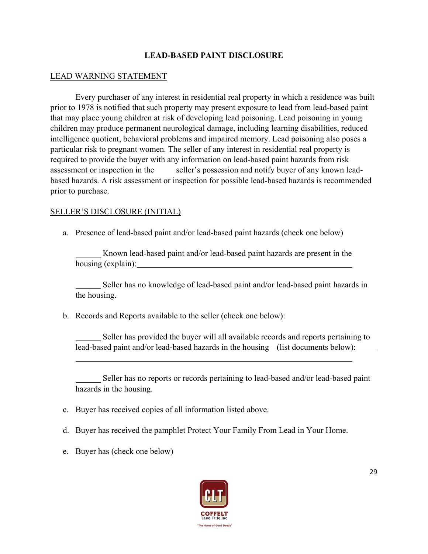### **LEAD-BASED PAINT DISCLOSURE**

#### LEAD WARNING STATEMENT

 Every purchaser of any interest in residential real property in which a residence was built prior to 1978 is notified that such property may present exposure to lead from lead-based paint that may place young children at risk of developing lead poisoning. Lead poisoning in young children may produce permanent neurological damage, including learning disabilities, reduced intelligence quotient, behavioral problems and impaired memory. Lead poisoning also poses a particular risk to pregnant women. The seller of any interest in residential real property is required to provide the buyer with any information on lead-based paint hazards from risk assessment or inspection in the seller's possession and notify buyer of any known leadbased hazards. A risk assessment or inspection for possible lead-based hazards is recommended prior to purchase.

#### SELLER'S DISCLOSURE (INITIAL)

a. Presence of lead-based paint and/or lead-based paint hazards (check one below)

Known lead-based paint and/or lead-based paint hazards are present in the housing (explain):  $\qquad \qquad$ 

Seller has no knowledge of lead-based paint and/or lead-based paint hazards in the housing.

b. Records and Reports available to the seller (check one below):

 Seller has provided the buyer will all available records and reports pertaining to lead-based paint and/or lead-based hazards in the housing (list documents below):

 Seller has no reports or records pertaining to lead-based and/or lead-based paint hazards in the housing.

- c. Buyer has received copies of all information listed above.
- d. Buyer has received the pamphlet Protect Your Family From Lead in Your Home.
- e. Buyer has (check one below)

l